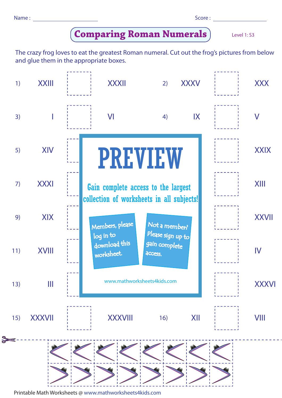| Name: |  |  | Score: |
|-------|--|--|--------|
|-------|--|--|--------|

| ×<br>۰, | ۰. | ۰. | v.<br>۰. |  |
|---------|----|----|----------|--|
|         |    |    |          |  |

## **Comparing Roman Numerals**

Level 1: S3

The crazy frog loves to eat the greatest Roman numeral. Cut out the frog's pictures from below and glue them in the appropriate boxes.



Printable Math Worksheets @ www.mathworksheets4kids.com